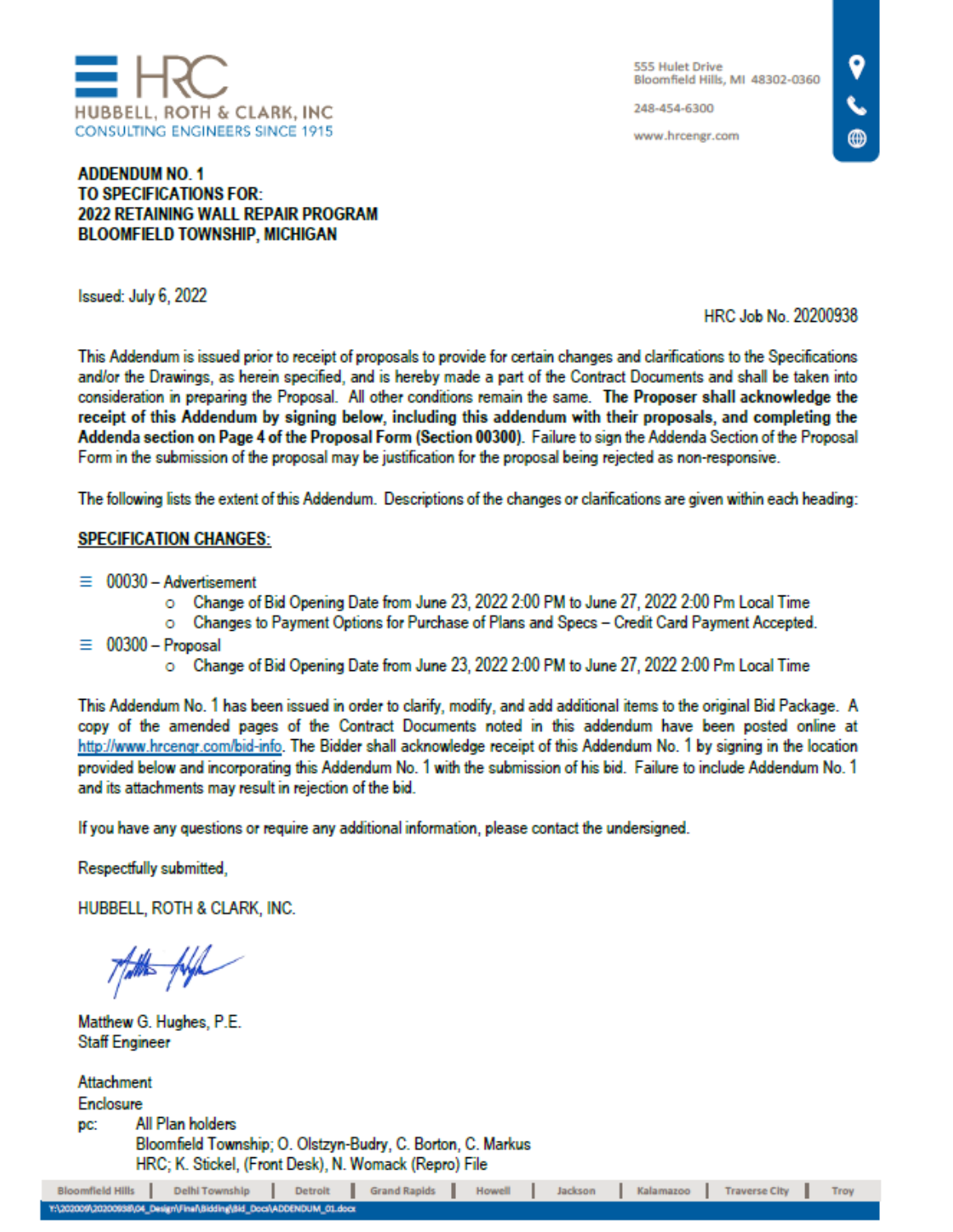

248-454-6300

www.hrcengr.com

## **ADDENDUM NO. 1** TO SPECIFICATIONS FOR-**2022 RETAINING WALL REPAIR PROGRAM BLOOMFIELD TOWNSHIP, MICHIGAN**

Issued: July 6, 2022

HRC Job No. 20200938

This Addendum is issued prior to receipt of proposals to provide for certain changes and clarifications to the Specifications and/or the Drawings, as herein specified, and is hereby made a part of the Contract Documents and shall be taken into consideration in preparing the Proposal. All other conditions remain the same. The Proposer shall acknowledge the receipt of this Addendum by signing below, including this addendum with their proposals, and completing the Addenda section on Page 4 of the Proposal Form (Section 00300). Failure to sign the Addenda Section of the Proposal Form in the submission of the proposal may be justification for the proposal being rejected as non-responsive.

The following lists the extent of this Addendum. Descriptions of the changes or clarifications are given within each heading:

# **SPECIFICATION CHANGES:**

- $\equiv 00030$  Advertisement
	- o Change of Bid Opening Date from June 23, 2022 2:00 PM to June 27, 2022 2:00 Pm Local Time
	- o Changes to Payment Options for Purchase of Plans and Specs Credit Card Payment Accepted.
- $00300 -$ Proposal Ξ
	- Change of Bid Opening Date from June 23, 2022 2:00 PM to June 27, 2022 2:00 Pm Local Time

This Addendum No. 1 has been issued in order to clarify, modify, and add additional items to the original Bid Package. A copy of the amended pages of the Contract Documents noted in this addendum have been posted online at http://www.hrcengr.com/bid-info. The Bidder shall acknowledge receipt of this Addendum No. 1 by signing in the location provided below and incorporating this Addendum No. 1 with the submission of his bid. Failure to include Addendum No. 1 and its attachments may result in rejection of the bid.

If you have any questions or require any additional information, please contact the undersigned.

Respectfully submitted,

HUBBELL, ROTH & CLARK, INC.

Thatthe fugh

Matthew G. Hughes, P.E. **Staff Engineer** 

**Attachment** Enclosure All Plan holders DC. Bloomfield Township; O. Olstzyn-Budry, C. Borton, C. Markus HRC; K. Stickel, (Front Desk), N. Womack (Repro) File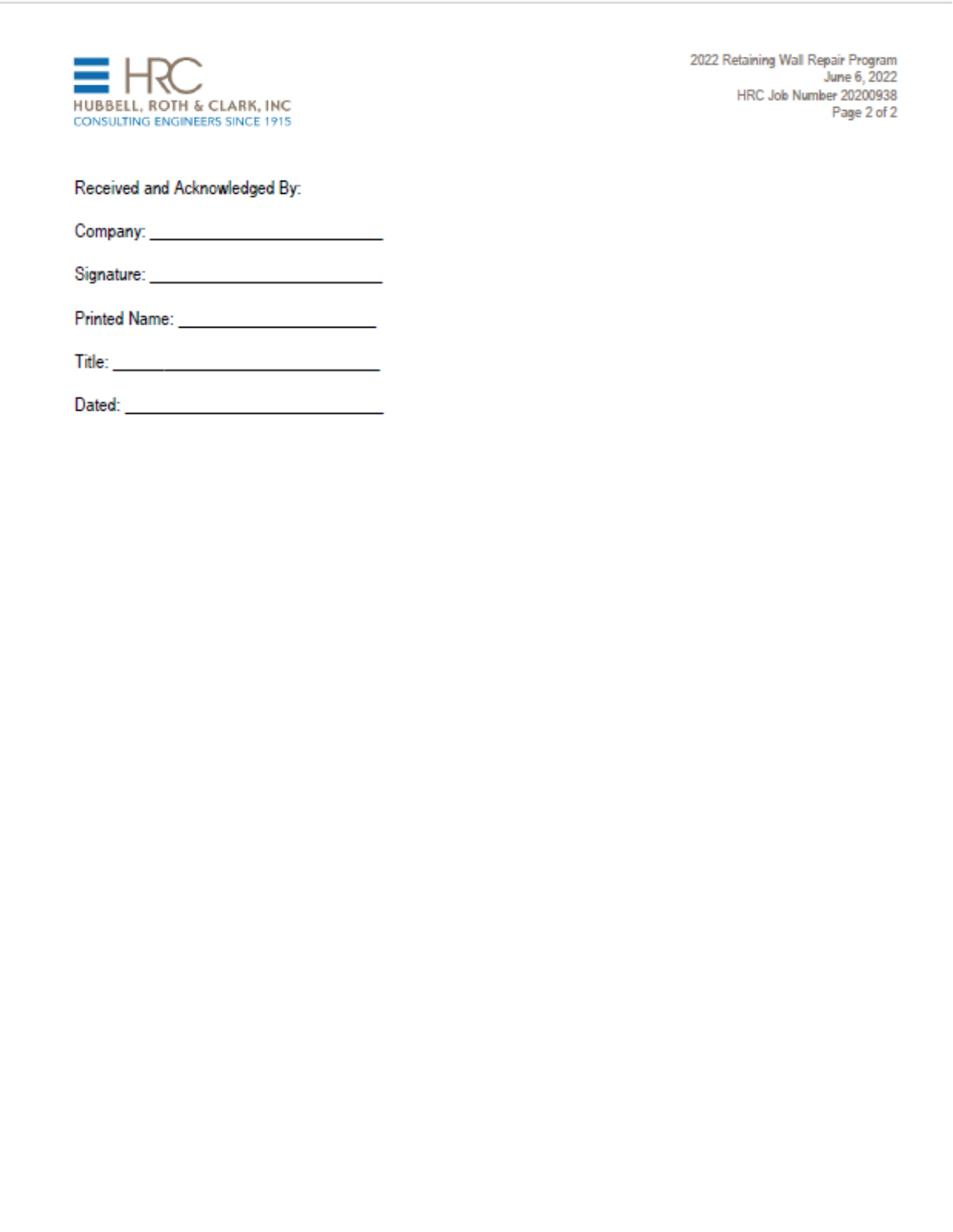

2022 Retaining Wall Repair Program June 6, 2022 HRC Job Number 20200938 Page 2 of 2

Received and Acknowledged By:

| <b>Printed Name:</b> |  |
|----------------------|--|
|                      |  |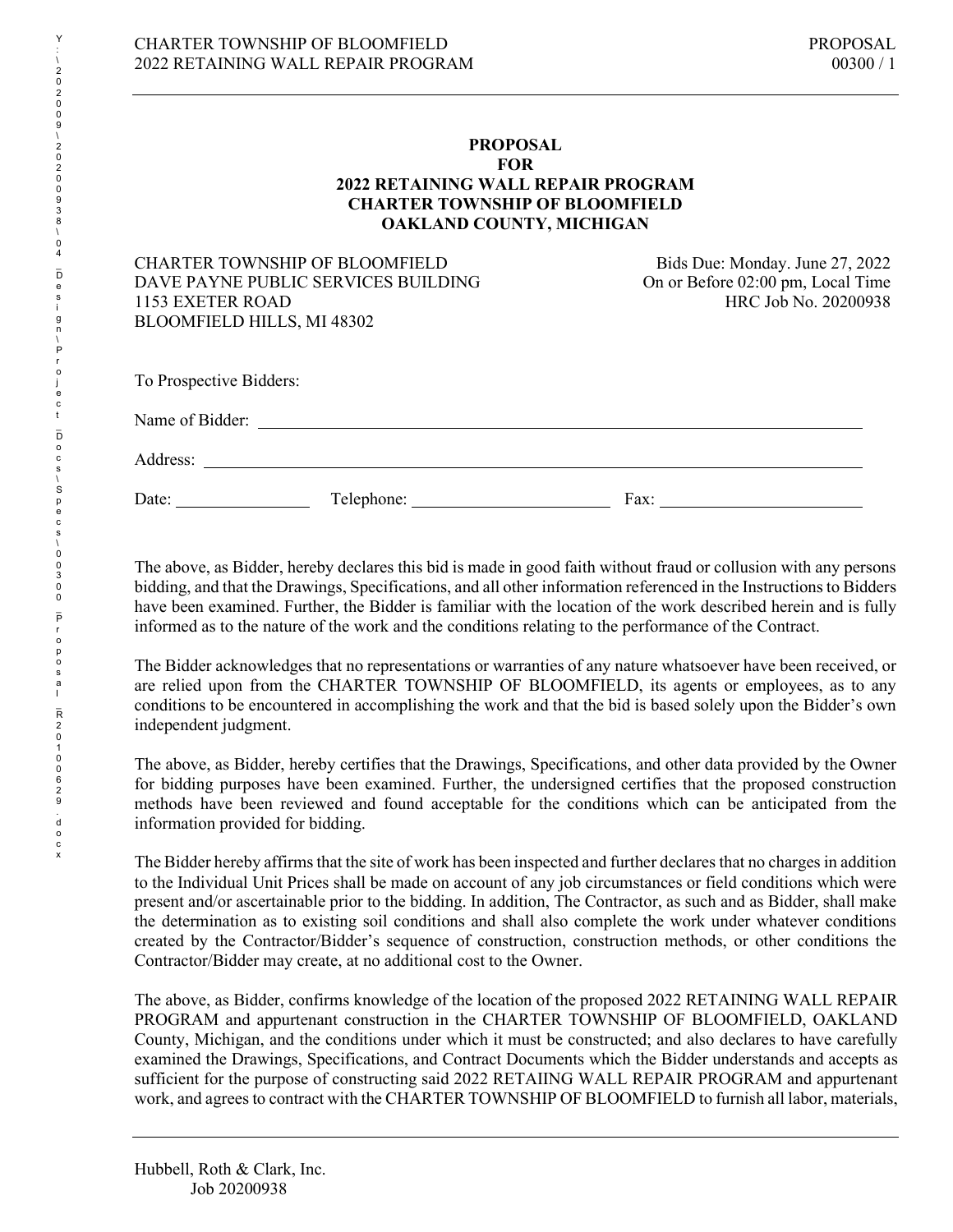#### **PROPOSAL FOR 2022 RETAINING WALL REPAIR PROGRAM CHARTER TOWNSHIP OF BLOOMFIELD OAKLAND COUNTY, MICHIGAN**

#### CHARTER TOWNSHIP OF BLOOMFIELD<br>DAVE PAYNE PUBLIC SERVICES BUILDING On or Before 02:00 pm, Local Time DAVE PAYNE PUBLIC SERVICES BUILDING 1153 EXETER ROAD HRC Job No. 20200938 BLOOMFIELD HILLS, MI 48302

| Name of Bidder: |            |      |  |
|-----------------|------------|------|--|
| Address:        |            |      |  |
| Date:           | Telephone: | Fax: |  |

The above, as Bidder, hereby declares this bid is made in good faith without fraud or collusion with any persons bidding, and that the Drawings, Specifications, and all other information referenced in the Instructions to Bidders have been examined. Further, the Bidder is familiar with the location of the work described herein and is fully informed as to the nature of the work and the conditions relating to the performance of the Contract.

The Bidder acknowledges that no representations or warranties of any nature whatsoever have been received, or are relied upon from the CHARTER TOWNSHIP OF BLOOMFIELD, its agents or employees, as to any conditions to be encountered in accomplishing the work and that the bid is based solely upon the Bidder's own independent judgment.

The above, as Bidder, hereby certifies that the Drawings, Specifications, and other data provided by the Owner for bidding purposes have been examined. Further, the undersigned certifies that the proposed construction methods have been reviewed and found acceptable for the conditions which can be anticipated from the information provided for bidding.

The Bidder hereby affirms that the site of work has been inspected and further declares that no charges in addition to the Individual Unit Prices shall be made on account of any job circumstances or field conditions which were present and/or ascertainable prior to the bidding. In addition, The Contractor, as such and as Bidder, shall make the determination as to existing soil conditions and shall also complete the work under whatever conditions created by the Contractor/Bidder's sequence of construction, construction methods, or other conditions the Contractor/Bidder may create, at no additional cost to the Owner.

The above, as Bidder, confirms knowledge of the location of the proposed 2022 RETAINING WALL REPAIR PROGRAM and appurtenant construction in the CHARTER TOWNSHIP OF BLOOMFIELD, OAKLAND County, Michigan, and the conditions under which it must be constructed; and also declares to have carefully examined the Drawings, Specifications, and Contract Documents which the Bidder understands and accepts as sufficient for the purpose of constructing said 2022 RETAIING WALL REPAIR PROGRAM and appurtenant work, and agrees to contract with the CHARTER TOWNSHIP OF BLOOMFIELD to furnish all labor, materials,

Hubbell, Roth & Clark, Inc. Job 20200938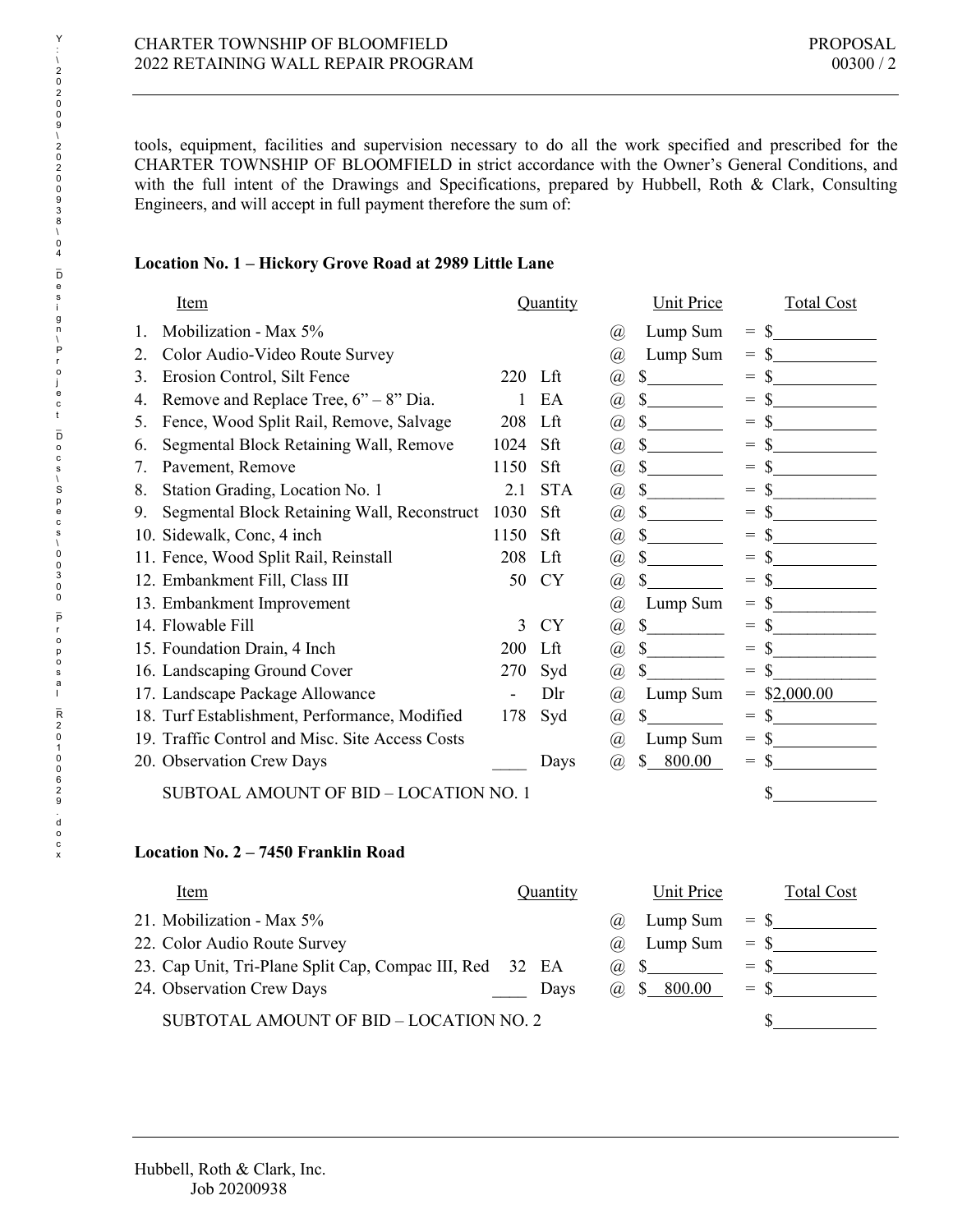tools, equipment, facilities and supervision necessary to do all the work specified and prescribed for the CHARTER TOWNSHIP OF BLOOMFIELD in strict accordance with the Owner's General Conditions, and with the full intent of the Drawings and Specifications, prepared by Hubbell, Roth & Clark, Consulting Engineers, and will accept in full payment therefore the sum of:

#### **Location No. 1 – Hickory Grove Road at 2989 Little Lane**

|    | Item                                            |         | Quantity   |                             | <b>Unit Price</b> |                   | <b>Total Cost</b> |
|----|-------------------------------------------------|---------|------------|-----------------------------|-------------------|-------------------|-------------------|
|    | Mobilization - Max 5%                           |         |            | (a)                         | Lump Sum          | $=$               |                   |
| 2. | Color Audio-Video Route Survey                  |         |            | @)                          | Lump Sum          | $=$               |                   |
| 3. | Erosion Control, Silt Fence                     | 220 Lft |            | @                           | \$                | $=$               |                   |
| 4. | Remove and Replace Tree, $6 - 8$ " Dia.         |         | EA         | $^{\,(a)}$                  | \$                | $=$               |                   |
| 5. | Fence, Wood Split Rail, Remove, Salvage         | 208     | Lft        | $^{\textregistered}$        |                   | $=$               |                   |
| 6. | Segmental Block Retaining Wall, Remove          | 1024    | Sft        | $^{\textregistered}$        | \$                | $=$               |                   |
| 7. | Pavement, Remove                                | 1150    | Sft        | $^{\textregistered}$        | \$                | $=$               |                   |
| 8. | Station Grading, Location No. 1                 | 2.1     | <b>STA</b> | $^{\textregistered}$        | $\mathbb{S}$      | $=$               |                   |
| 9. | Segmental Block Retaining Wall, Reconstruct     | 1030    | Sft        | $^{\textregistered}$        | $\mathbb{S}$      | $=$               |                   |
|    | 10. Sidewalk, Conc, 4 inch                      | 1150    | Sft        | @                           | \$                | $=$               |                   |
|    | 11. Fence, Wood Split Rail, Reinstall           | 208     | Lft        | $^{\textregistered}$        |                   | $=$               |                   |
|    | 12. Embankment Fill, Class III                  | 50      | <b>CY</b>  | @                           | $\mathbb{S}$      | $=$               |                   |
|    | 13. Embankment Improvement                      |         |            | $^{\,(a)}$                  | Lump Sum          | $=$               |                   |
|    | 14. Flowable Fill                               | 3       | <b>CY</b>  | $^{\hspace{-0.5pt}(\!a\!)}$ | \$                | $=$               |                   |
|    | 15. Foundation Drain, 4 Inch                    | 200     | Lft        | $^{\textregistered}$        | $\mathbb{S}$      | $=$               |                   |
|    | 16. Landscaping Ground Cover                    | 270     | Syd        | @                           | \$                | S<br>$=$          |                   |
|    | 17. Landscape Package Allowance                 |         | Dlr        | @)                          | Lump Sum          | \$2,000.00<br>$=$ |                   |
|    | 18. Turf Establishment, Performance, Modified   | 178     | Syd        | @                           | \$                | \$<br>$=$         |                   |
|    | 19. Traffic Control and Misc. Site Access Costs |         |            | $^{\,(a)}$                  | Lump Sum          | $=$               |                   |
|    | 20. Observation Crew Days                       |         | Days       | (a)                         | 800.00<br>\$      | S<br>$=$          |                   |
|    | SUBTOAL AMOUNT OF BID - LOCATION NO. 1          |         |            |                             |                   | \$                |                   |

### **Location No. 2 – 7450 Franklin Road**

| Item                                                     | <b>Quantity</b> | Unit Price                  | <b>Total Cost</b> |
|----------------------------------------------------------|-----------------|-----------------------------|-------------------|
| 21. Mobilization - Max 5%                                |                 | Lump Sum<br>(a).            | $=$ \$            |
| 22. Color Audio Route Survey                             |                 | Lump Sum $=$ \$<br>$\omega$ |                   |
| 23. Cap Unit, Tri-Plane Split Cap, Compac III, Red 32 EA |                 | $(a)$ \$                    | $=$ S             |
| 24. Observation Crew Days                                | Davs            | (a) $$800.00$               | $=$ \$            |
| SUBTOTAL AMOUNT OF BID - LOCATION NO. 2                  |                 |                             |                   |

Y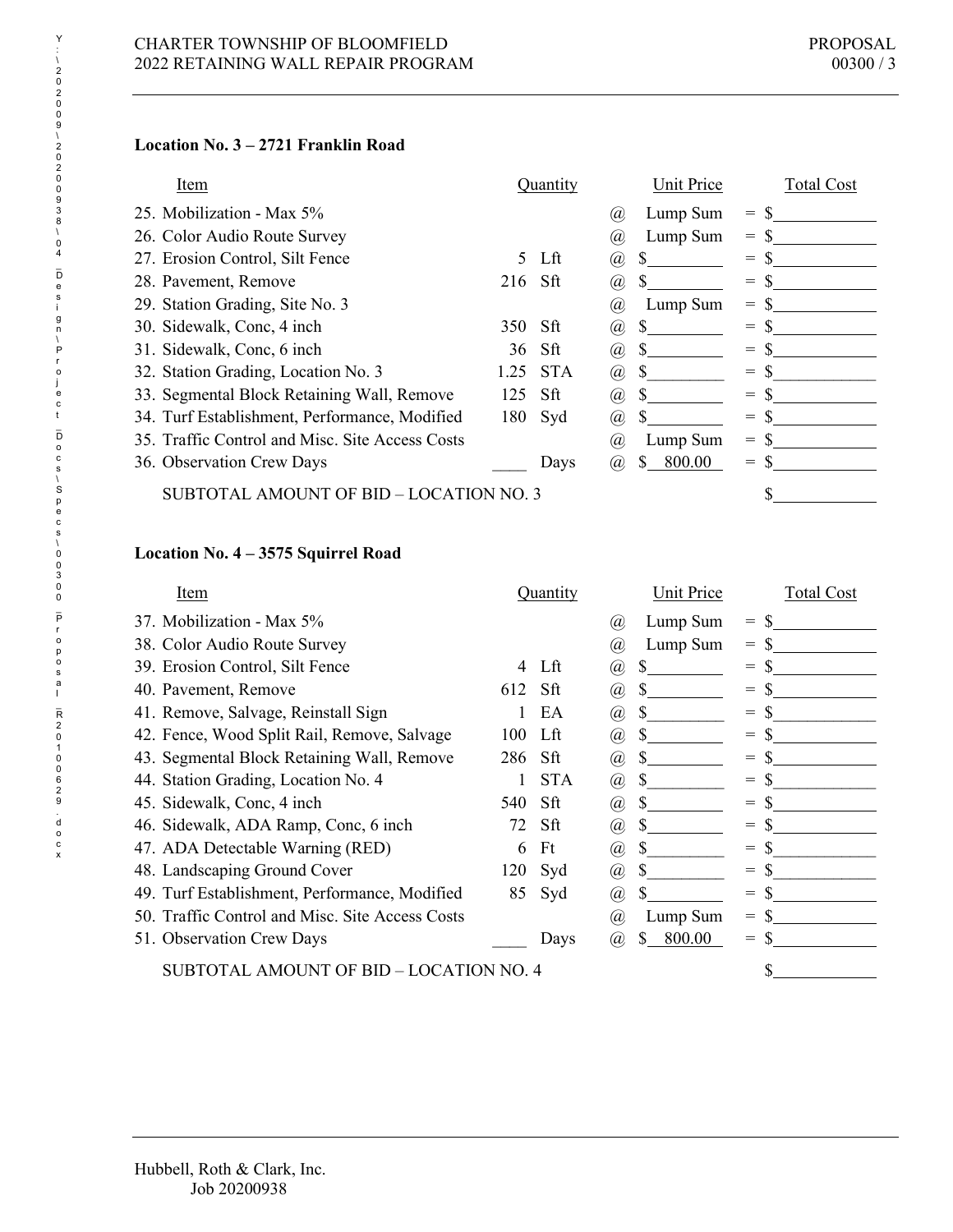# **Location No. 3 – 2721 Franklin Road**

| Item                                            | Quantity           | Unit Price          | <b>Total Cost</b> |
|-------------------------------------------------|--------------------|---------------------|-------------------|
| 25. Mobilization - Max 5%                       |                    | Lump Sum<br>(a)     | $\!\!\!=\!\!\!\!$ |
| 26. Color Audio Route Survey                    |                    | Lump Sum<br>(a)     | $=$               |
| 27. Erosion Control, Silt Fence                 | Lft<br>5.          | S.<br>(a),          | $=$               |
| 28. Pavement, Remove                            | $216$ Sft          | (a)                 | $=$               |
| 29. Station Grading, Site No. 3                 |                    | Lump Sum<br>(a),    | $=$               |
| 30. Sidewalk, Conc, 4 inch                      | 350<br>Sft         | S<br>(a)            | $=$               |
| 31. Sidewalk, Conc, 6 inch                      | - Sft<br>36        | S.<br>(a)           | $=$               |
| 32. Station Grading, Location No. 3             | <b>STA</b><br>1.25 | <sup>\$</sup><br>@) | $=$               |
| 33. Segmental Block Retaining Wall, Remove      | 125<br>Sft         | S.<br>(a)           | $=$               |
| 34. Turf Establishment, Performance, Modified   | 180<br>Syd         | S<br>(a)            | $\!\!\!=\!\!\!\!$ |
| 35. Traffic Control and Misc. Site Access Costs |                    | Lump Sum<br>(a)     | $=$               |
| 36. Observation Crew Days                       | Days               | 800.00<br>S.<br>(a) | $\!\!\!=\!\!\!\!$ |
| SUBTOTAL AMOUNT OF BID – LOCATION NO. 3         |                    |                     |                   |

# **Location No. 4 – 3575 Squirrel Road**

| <b>Item</b>                                     | Quantity   | Unit Price                              | <b>Total Cost</b> |
|-------------------------------------------------|------------|-----------------------------------------|-------------------|
| 37. Mobilization - Max 5%                       |            | Lump Sum<br>(a)                         | $=$               |
| 38. Color Audio Route Survey                    |            | Lump Sum<br>(a)                         | $=$               |
| 39. Erosion Control, Silt Fence                 | Lft<br>4   | S<br>(a)                                | $=$               |
| 40. Pavement, Remove                            | 612<br>Sft | S<br>(a)                                | $=$               |
| 41. Remove, Salvage, Reinstall Sign             | EA         | (a)                                     | $=$               |
| 42. Fence, Wood Split Rail, Remove, Salvage     | Lft<br>100 | (a),                                    | $=$               |
| 43. Segmental Block Retaining Wall, Remove      | 286<br>Sft | S<br>(a)                                | $=$               |
| 44. Station Grading, Location No. 4             | <b>STA</b> | <b>S</b><br>$\left(\overline{a}\right)$ | $=$               |
| 45. Sidewalk, Conc, 4 inch                      | 540<br>Sft | (a)<br>S                                | $=$               |
| 46. Sidewalk, ADA Ramp, Conc, 6 inch            | 72<br>Sft  | (a)                                     | $=$               |
| 47. ADA Detectable Warning (RED)                | Ft<br>6    | S.<br>$\left(\overline{a}\right)$       | $=$               |
| 48. Landscaping Ground Cover                    | 120<br>Syd | \$.<br>(a)                              | $=$               |
| 49. Turf Establishment, Performance, Modified   | 85<br>Syd  | (a)                                     | $=$               |
| 50. Traffic Control and Misc. Site Access Costs |            | Lump Sum<br>(a)                         | $=$               |
| 51. Observation Crew Days                       | Days       | 800.00<br>(a)                           | $=$               |
| SUBTOTAL AMOUNT OF BID - LOCATION NO. 4         |            |                                         |                   |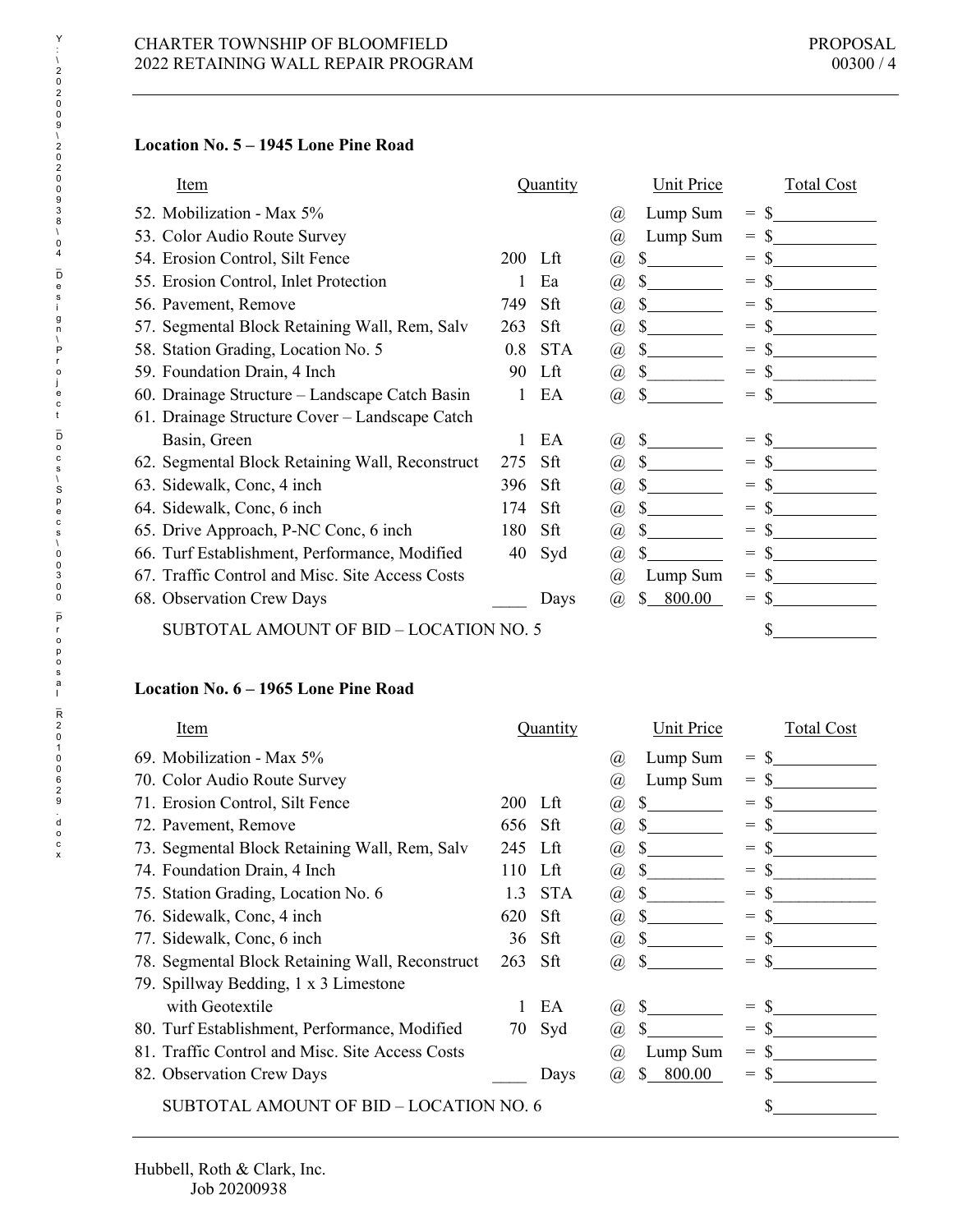# **Location No. 5 – 1945 Lone Pine Road**

| Item                                            | Quantity            | Unit Price                        | <b>Total Cost</b> |
|-------------------------------------------------|---------------------|-----------------------------------|-------------------|
| 52. Mobilization - Max 5%                       |                     | Lump Sum<br>(a)                   | S<br>$=$          |
| 53. Color Audio Route Survey                    |                     | Lump Sum<br>@)                    | $=$               |
| 54. Erosion Control, Silt Fence                 | <b>200</b><br>- Lft | S<br>@                            | $=$               |
| 55. Erosion Control, Inlet Protection           | Ea                  | S.<br>(a)                         | $=$               |
| 56. Pavement, Remove                            | 749<br>Sft          | S.<br>$\left(\overline{a}\right)$ | $=$               |
| 57. Segmental Block Retaining Wall, Rem, Salv   | Sft<br>263          | @)                                | $=$               |
| 58. Station Grading, Location No. 5             | <b>STA</b><br>0.8   | S.<br>$^{\textregistered}$        | $=$               |
| 59. Foundation Drain, 4 Inch                    | Lft<br>90           | \$<br>$\left(\overline{a}\right)$ | $=$               |
| 60. Drainage Structure – Landscape Catch Basin  | EA                  | (a),                              | $=$               |
| 61. Drainage Structure Cover – Landscape Catch  |                     |                                   |                   |
| Basin, Green                                    | EA                  | $\left(\widehat{a}\right)$        | $=$               |
| 62. Segmental Block Retaining Wall, Reconstruct | Sft<br>275          | \$<br>(a)                         | $=$               |
| 63. Sidewalk, Conc, 4 inch                      | 396<br>Sft          | S.<br>$\left(\overline{a}\right)$ | $=$               |
| 64. Sidewalk, Conc, 6 inch                      | 174<br>Sft          | $\left(\overline{a}\right)$       | $=$               |
| 65. Drive Approach, P-NC Conc, 6 inch           | 180<br>Sft          | @)                                | $=$               |
| 66. Turf Establishment, Performance, Modified   | 40<br>Syd           | S<br>@)                           | $=$               |
| 67. Traffic Control and Misc. Site Access Costs |                     | Lump Sum<br>(a)                   | $=$               |
| 68. Observation Crew Days                       | Days                | 800.00<br>S<br>(a)                | $=$               |
| SUBTOTAL AMOUNT OF BID - LOCATION NO. 5         |                     |                                   | \$                |

### **Location No. 6 – 1965 Lone Pine Road**

| <u>Item</u>                                     | Quantity          | <b>Unit Price</b>                | <b>Total Cost</b>                   |
|-------------------------------------------------|-------------------|----------------------------------|-------------------------------------|
| 69. Mobilization - Max 5%                       |                   | Lump Sum<br>(a)                  | $=$                                 |
| 70. Color Audio Route Survey                    |                   | Lump Sum<br>(a)                  | $=$                                 |
| 71. Erosion Control, Silt Fence                 | $200$ Lft         | S<br>@)                          | $=$                                 |
| 72. Pavement, Remove                            | 656<br>Sft        | \$<br>$\left(\widehat{a}\right)$ | $=$                                 |
| 73. Segmental Block Retaining Wall, Rem, Salv   | 245<br>Lft        | S<br>(a)                         | $=$                                 |
| 74. Foundation Drain, 4 Inch                    | 110<br>Lft        | (a)                              | $=$                                 |
| 75. Station Grading, Location No. 6             | <b>STA</b><br>1.3 | $\left(\overline{a}\right)$      | $=$                                 |
| 76. Sidewalk, Conc, 4 inch                      | 620<br>Sft        | (a)                              | $=$                                 |
| 77. Sidewalk, Conc, 6 inch                      | Sft<br>36         | $\left(\overline{a}\right)$      | $\!\!\!=\!\!\!\!$                   |
| 78. Segmental Block Retaining Wall, Reconstruct | 263<br>Sft        | (a)                              | $=$                                 |
| 79. Spillway Bedding, 1 x 3 Limestone           |                   |                                  |                                     |
| with Geotextile                                 | EA                | <b>S</b><br>(a)                  | $=$                                 |
| 80. Turf Establishment, Performance, Modified   | Syd<br>70         | \$<br>@)                         | $=$                                 |
| 81. Traffic Control and Misc. Site Access Costs |                   | Lump Sum<br>(a)                  | $=$                                 |
| 82. Observation Crew Days                       | Days              | 800.00<br>(a)                    | $\hspace*{0.4em} = \hspace*{0.4em}$ |
| SUBTOTAL AMOUNT OF BID – LOCATION NO. 6         |                   |                                  |                                     |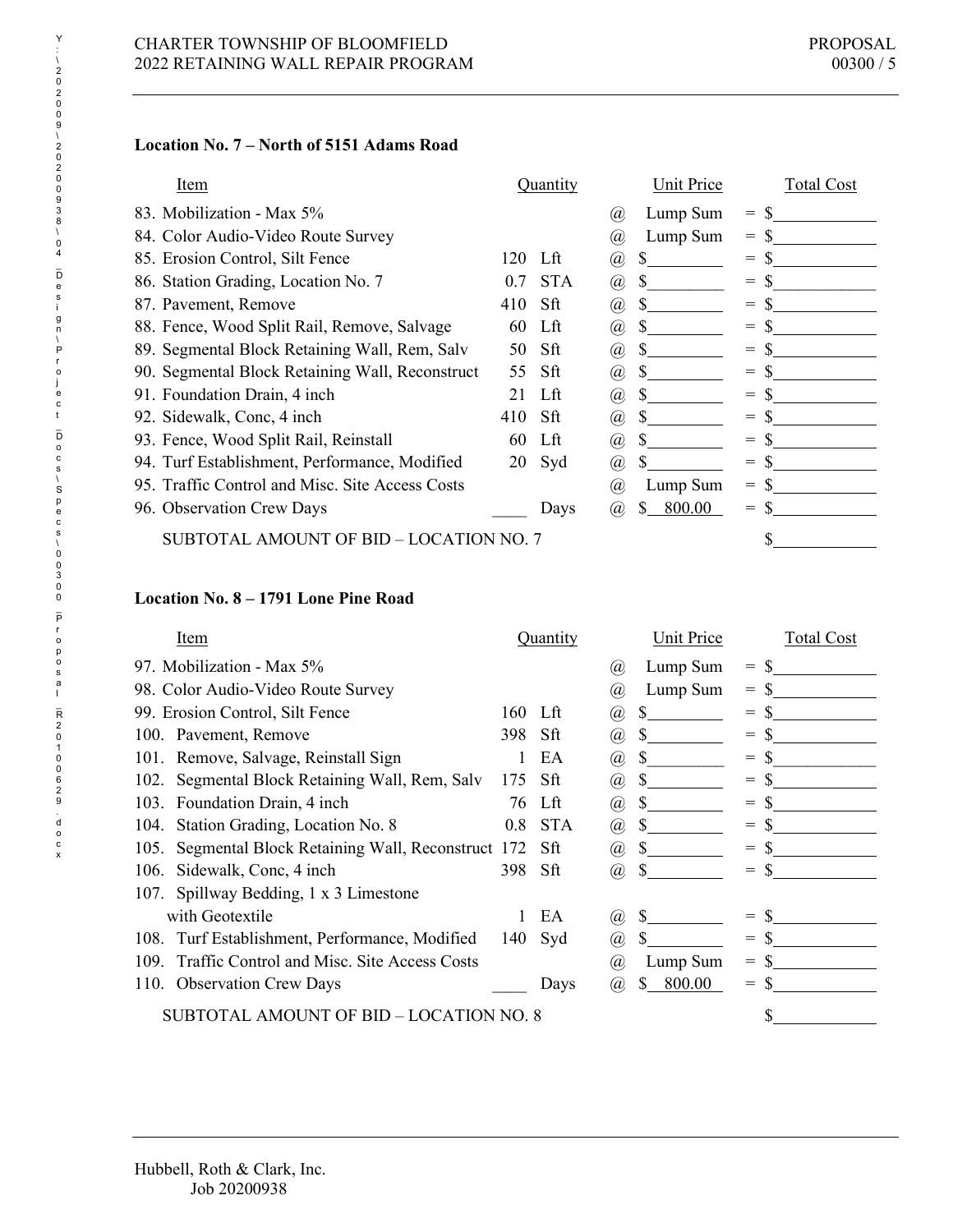# **Location No. 7 – North of 5151 Adams Road**

| Item                                            | Quantity          | Unit Price                        | <b>Total Cost</b> |
|-------------------------------------------------|-------------------|-----------------------------------|-------------------|
| 83. Mobilization - Max 5%                       |                   | Lump Sum<br>(a)                   | $=$               |
| 84. Color Audio-Video Route Survey              |                   | Lump Sum<br>(a)                   | $=$               |
| 85. Erosion Control, Silt Fence                 | 120<br>Lft        | S.<br>@)                          | $=$               |
| 86. Station Grading, Location No. 7             | <b>STA</b><br>0.7 | S.<br>$^{\hspace{-0.5pt}(\!a\!)}$ | $=$               |
| 87. Pavement, Remove                            | Sft<br>410        | S.<br>(a)                         | $=$               |
| 88. Fence, Wood Split Rail, Remove, Salvage     | - Lft<br>60       | (a)                               | $=$               |
| 89. Segmental Block Retaining Wall, Rem, Salv   | Sft<br>50         | S.<br>(a)                         | $=$               |
| 90. Segmental Block Retaining Wall, Reconstruct | 55<br>Sft         | @)                                | $=$               |
| 91. Foundation Drain, 4 inch                    | Lft<br>21         | <sup>S</sup><br>(a)               | $=$               |
| 92. Sidewalk, Conc, 4 inch                      | Sft<br>410        | (a)                               | $=$               |
| 93. Fence, Wood Split Rail, Reinstall           | Lft<br>60         | S.<br>@)                          | $=$               |
| 94. Turf Establishment, Performance, Modified   | 20<br>Syd         | S<br>(a)                          | $=$               |
| 95. Traffic Control and Misc. Site Access Costs |                   | Lump Sum<br>(a)                   | $=$               |
| 96. Observation Crew Days                       | Days              | 800.00<br>(a)                     | $=$               |
| SUBTOTAL AMOUNT OF BID – LOCATION NO. 7         |                   |                                   | \$                |

# **Location No. 8 – 1791 Lone Pine Road**

| Item                                                    |     | <b>Quantity</b> |                             | Unit Price  |                                     | <b>Total Cost</b> |
|---------------------------------------------------------|-----|-----------------|-----------------------------|-------------|-------------------------------------|-------------------|
| 97. Mobilization - Max 5%                               |     |                 | (a)                         | Lump Sum    | $\hspace*{0.4em} = \hspace*{0.4em}$ |                   |
| 98. Color Audio-Video Route Survey                      |     |                 | (a)                         | Lump Sum    | $=$                                 |                   |
| 99. Erosion Control, Silt Fence                         | 160 | - Lft           | (a)                         | S           | $=$                                 |                   |
| 100. Pavement, Remove                                   | 398 | Sft             | (a)                         | \$          | $=$                                 |                   |
| 101. Remove, Salvage, Reinstall Sign                    |     | EA              | (a)                         |             | $=$                                 |                   |
| Segmental Block Retaining Wall, Rem, Salv<br>102.       | 175 | Sft             | (a)                         |             | $=$                                 |                   |
| Foundation Drain, 4 inch<br>103.                        | 76  | Lft             | (a)                         |             | $=$                                 |                   |
| Station Grading, Location No. 8<br>104.                 | 0.8 | <b>STA</b>      | $\left( a\right)$           | <b>S</b>    | $=$                                 |                   |
| Segmental Block Retaining Wall, Reconstruct 172<br>105. |     | Sft             | (a)                         | S           | $=$                                 |                   |
| Sidewalk, Conc, 4 inch<br>106.                          | 398 | Sft             | (a),                        |             | $=$                                 |                   |
| Spillway Bedding, 1 x 3 Limestone<br>107.               |     |                 |                             |             |                                     |                   |
| with Geotextile                                         |     | EA              | $\left(\overline{a}\right)$ |             | $=$                                 |                   |
| Turf Establishment, Performance, Modified<br>108.       | 140 | Syd             | (a)                         |             | $=$                                 |                   |
| Traffic Control and Misc. Site Access Costs<br>109.     |     |                 | (a)                         | Lump Sum    | $=$                                 |                   |
| 110. Observation Crew Days                              |     | Days            | (a)                         | 800.00<br>S | $=$                                 |                   |
| SUBTOTAL AMOUNT OF BID - LOCATION NO. 8                 |     |                 |                             |             |                                     |                   |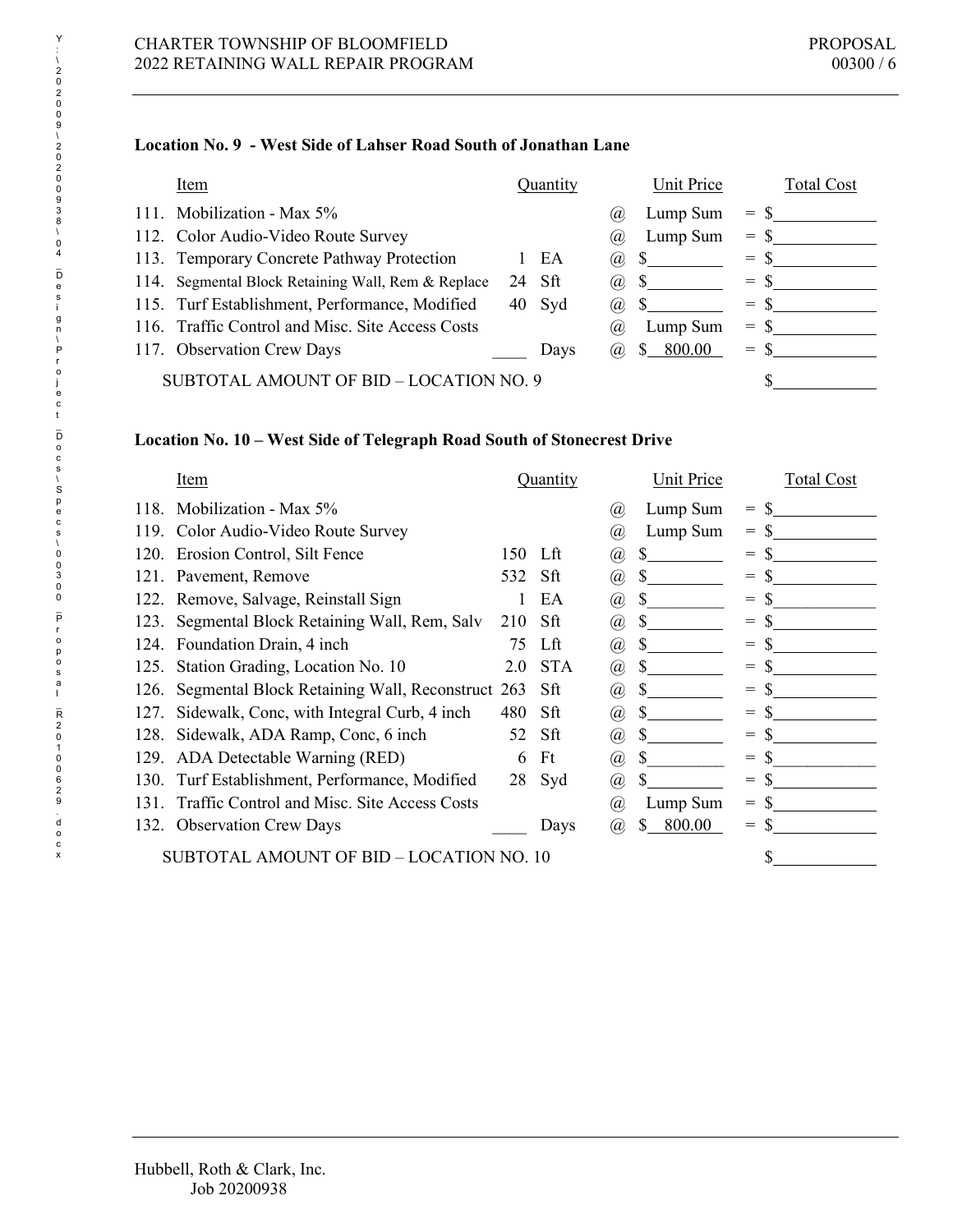# **Location No. 9 - West Side of Lahser Road South of Jonathan Lane**

| Item                                               |    | Ouantity |      | Unit Price     |       | <b>Total Cost</b> |
|----------------------------------------------------|----|----------|------|----------------|-------|-------------------|
| 111. Mobilization - Max 5%                         |    |          | (a)  | Lump Sum       | $=$   |                   |
| 112. Color Audio-Video Route Survey                |    |          | (a)  | Lump Sum       | $=$   |                   |
| 113. Temporary Concrete Pathway Protection         |    | EA       | (a)  | $\mathbb{S}^-$ | $=$ S |                   |
| 114. Segmental Block Retaining Wall, Rem & Replace | 24 | - Sft    | (a), |                | $=$   |                   |
| 115. Turf Establishment, Performance, Modified     |    | 40 Syd   | (a), |                | $=$   |                   |
| 116. Traffic Control and Misc. Site Access Costs   |    |          | (a)  | Lump Sum       | $=$   |                   |
| 117. Observation Crew Days                         |    | Days     | (a), | 800.00<br>S.   | $=$   |                   |
| SUBTOTAL AMOUNT OF BID – LOCATION NO. 9            |    |          |      |                |       |                   |

### **Location No. 10 – West Side of Telegraph Road South of Stonecrest Drive**

|      | Item                                            |     | Quantity   |                                                                   | Unit Price   | <b>Total Cost</b> |
|------|-------------------------------------------------|-----|------------|-------------------------------------------------------------------|--------------|-------------------|
| 118. | Mobilization - Max 5%                           |     |            | (a)                                                               | Lump Sum     | $=$               |
| 119. | Color Audio-Video Route Survey                  |     |            | (a)                                                               | Lump Sum     | $=$               |
| 120. | Erosion Control, Silt Fence                     | 150 | - Lft      | @)                                                                | S            | $=$               |
| 121. | Pavement, Remove                                | 532 | -Sft       | @)                                                                | S            | $=$               |
|      | 122. Remove, Salvage, Reinstall Sign            |     | EA         | @)                                                                | S            | $=$               |
| 123. | Segmental Block Retaining Wall, Rem, Salv       | 210 | Sft        | (a)                                                               |              | $=$               |
| 124. | Foundation Drain, 4 inch                        | 75  | Lft        | (a),                                                              | S            | $=$               |
| 125. | Station Grading, Location No. 10                | 2.0 | <b>STA</b> | $\left(\!\!\left.\!\!\left.\!\!\right.\!\!\!\right.\!\!\!\right)$ | S            | $=$               |
| 126. | Segmental Block Retaining Wall, Reconstruct 263 |     | Sft        | @)                                                                | <b>S</b>     | $=$               |
| 127. | Sidewalk, Conc, with Integral Curb, 4 inch      | 480 | Sft        | @                                                                 | S            | $=$               |
| 128. | Sidewalk, ADA Ramp, Conc, 6 inch                | 52  | Sft        | $\left(\!\!\left.\!\!\left.\!\!\right.\!\!\!\right.\!\!\!\right)$ | S            | $=$               |
| 129. | ADA Detectable Warning (RED)                    | 6   | Ft         | (a)                                                               | \$.          | $=$               |
| 130. | Turf Establishment, Performance, Modified       | 28  | Syd        | (a)                                                               | \$           | S<br>$=$          |
| 131. | Traffic Control and Misc. Site Access Costs     |     |            | $\left(  a\right)$                                                | Lump Sum     | $=$               |
|      | 132. Observation Crew Days                      |     | Days       | (a)                                                               | \$<br>800.00 | $=$               |
|      | SUBTOTAL AMOUNT OF BID – LOCATION NO. 10        |     |            |                                                                   |              |                   |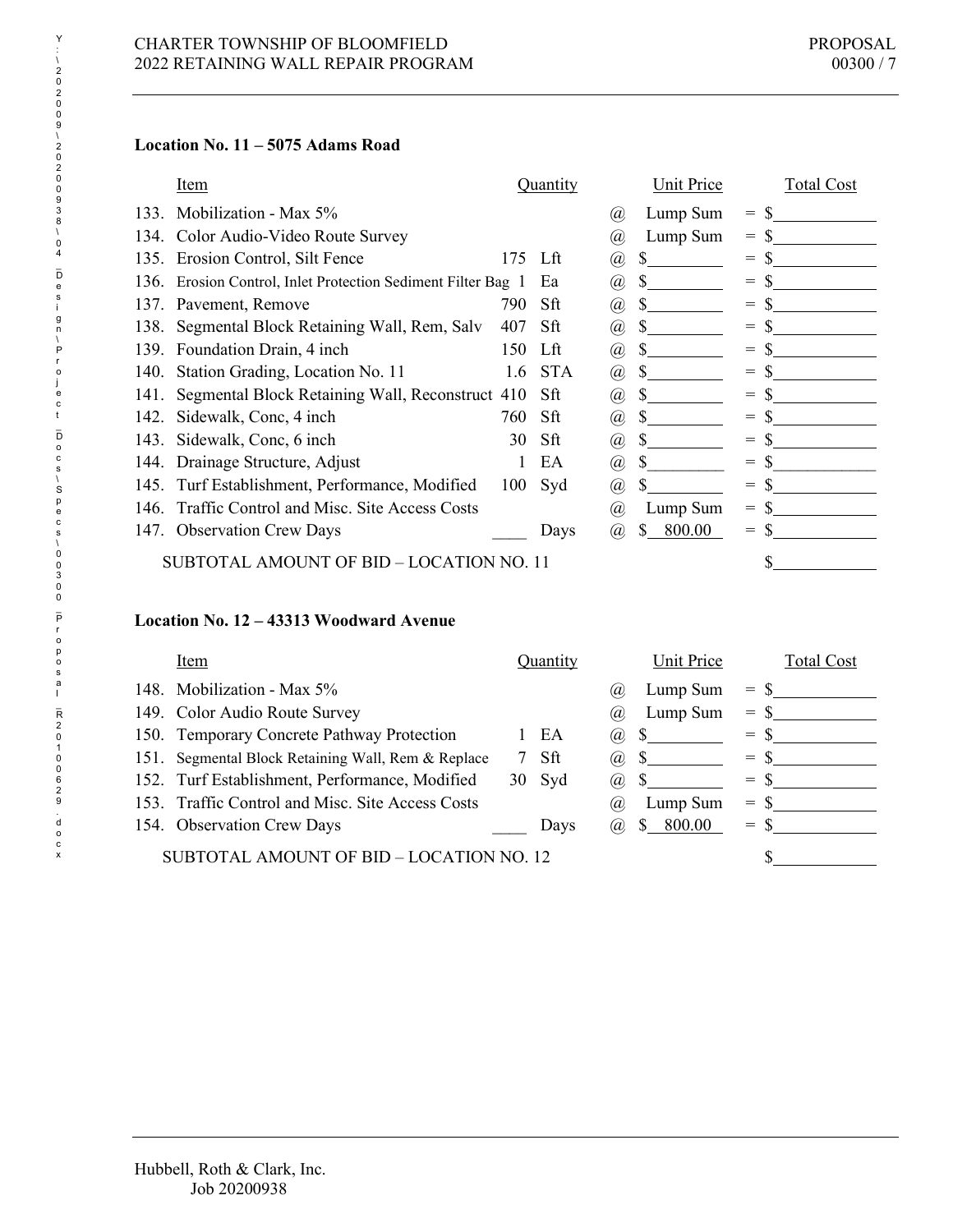## **Location No. 11 – 5075 Adams Road**

|      | Item                                                    |         | Quantity   |                             | Unit Price  | <b>Total Cost</b> |
|------|---------------------------------------------------------|---------|------------|-----------------------------|-------------|-------------------|
| 133. | Mobilization - Max 5%                                   |         |            | Ø)                          | Lump Sum    | $=$               |
| 134. | Color Audio-Video Route Survey                          |         |            | (a)                         | Lump Sum    | $=$               |
| 135. | Erosion Control, Silt Fence                             | 175 Lft |            | $\left(\overline{a}\right)$ | S           | $=$               |
| 136. | Erosion Control, Inlet Protection Sediment Filter Bag 1 |         | Ea         | @)                          | \$.         | $=$               |
| 137. | Pavement, Remove                                        | 790     | Sft        | (a)                         | S.          | $=$               |
| 138. | Segmental Block Retaining Wall, Rem, Salv               | 407     | Sft        | @)                          | S.          | $=$               |
| 139. | Foundation Drain, 4 inch                                | 150     | Lft        | @)                          |             | $=$               |
| 140. | Station Grading, Location No. 11                        | 1.6     | <b>STA</b> | $\left(\overline{a}\right)$ |             | $=$               |
| 141. | Segmental Block Retaining Wall, Reconstruct 410         |         | Sft        | (a)                         | S.          | $=$               |
| 142. | Sidewalk, Conc, 4 inch                                  | 760     | Sft        | (a)                         | S.          | $=$               |
| 143. | Sidewalk, Conc, 6 inch                                  | 30      | Sft        | $\left( a\right)$           | S.          | $=$               |
| 144. | Drainage Structure, Adjust                              |         | EA         | $\left( a\right)$           | S           | $=$               |
| 145. | Turf Establishment, Performance, Modified               | 100     | Syd        | (a)                         |             | $=$               |
| 146. | Traffic Control and Misc. Site Access Costs             |         |            | (a)                         | Lump Sum    | $=$               |
|      | 147. Observation Crew Days                              |         | Days       | (a)                         | 800.00<br>S | $=$               |
|      | SUBTOTAL AMOUNT OF BID - LOCATION NO. 11                |         |            |                             |             |                   |

## **Location No. 12 – 43313 Woodward Avenue**

|      | Item                                             |    | Quantity |      | Unit Price              | Total Cost           |
|------|--------------------------------------------------|----|----------|------|-------------------------|----------------------|
|      | 148. Mobilization - Max 5%                       |    |          | (a   | Lump Sum                | $=$                  |
|      | 149. Color Audio Route Survey                    |    |          | (a)  | Lump Sum                | $=$                  |
|      | 150. Temporary Concrete Pathway Protection       |    | EA       | (a), |                         | $=$                  |
| 151. | Segmental Block Retaining Wall, Rem & Replace    |    | Sft      | (a), |                         | <sup>\$</sup><br>$=$ |
|      | 152. Turf Establishment, Performance, Modified   | 30 | Syd      | (a), |                         | $=$ \$               |
|      | 153. Traffic Control and Misc. Site Access Costs |    |          | (a)  | Lump Sum                | $=$ S                |
|      | 154. Observation Crew Days                       |    | Days     | (a), | 800.00<br><sup>\$</sup> | $=$                  |
|      | SUBTOTAL AMOUNT OF BID - LOCATION NO. 12         |    |          |      |                         |                      |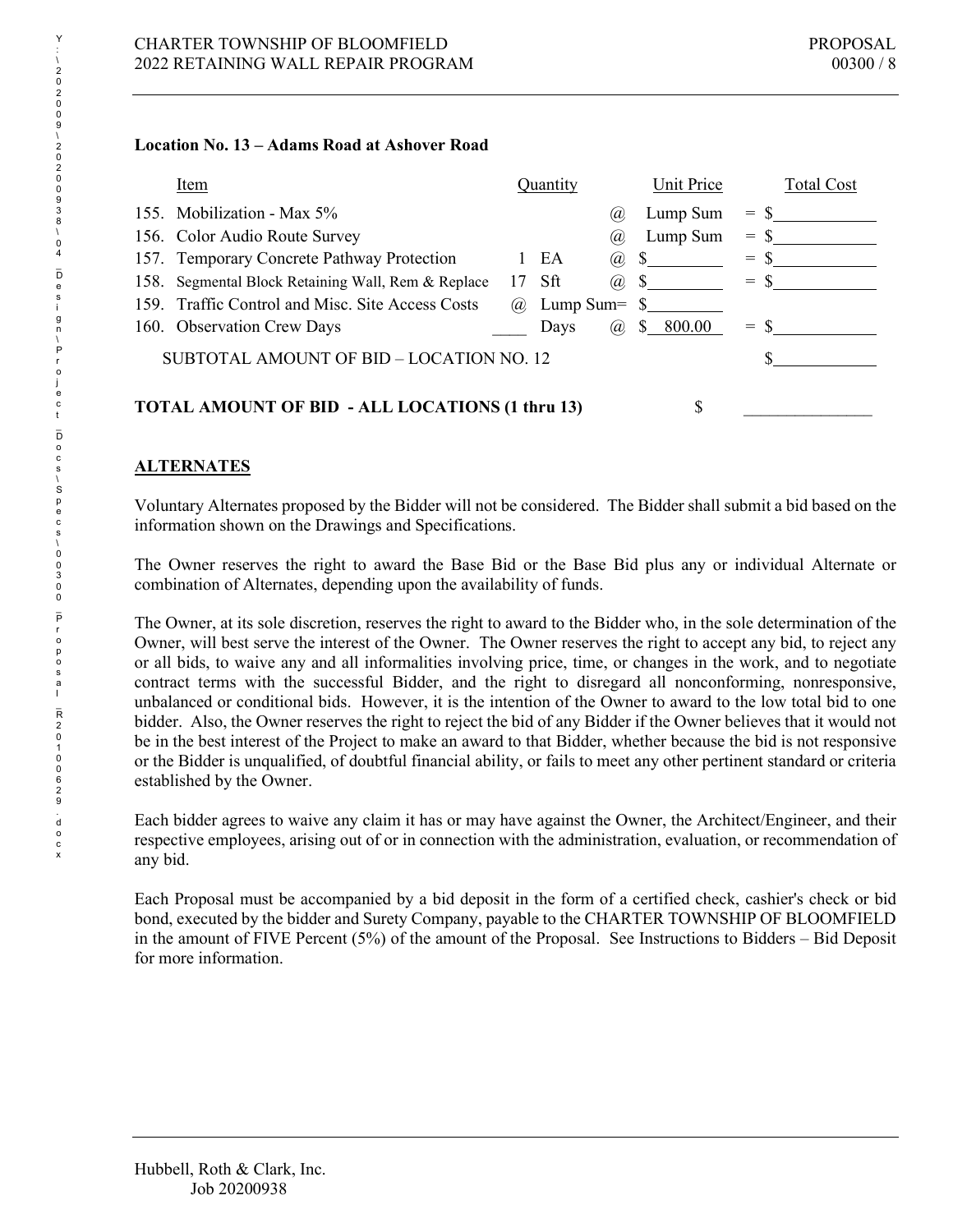### **Location No. 13 – Adams Road at Ashover Road**

|      | Item                                                               | Quantity                     | Unit Price   | <b>Total Cost</b> |  |  |
|------|--------------------------------------------------------------------|------------------------------|--------------|-------------------|--|--|
|      | 155. Mobilization - Max 5%                                         | (a                           | Lump Sum     | -S<br>$=$         |  |  |
|      | 156. Color Audio Route Survey                                      | (a)                          | Lump Sum     | $=$ \$            |  |  |
|      | 157. Temporary Concrete Pathway Protection                         | EA<br>(a),<br>$\mathbf{L}$   |              | $=$ S             |  |  |
| 158. | Segmental Block Retaining Wall, Rem & Replace                      | $17$ Sft<br>(a),             | <sup>S</sup> | $=$ \$            |  |  |
|      | 159. Traffic Control and Misc. Site Access Costs                   | Lump Sum= $\text{\$}$<br>(a) |              |                   |  |  |
|      | 160. Observation Crew Days                                         | Days<br>(a),                 | S.<br>800.00 | $=$               |  |  |
|      | SUBTOTAL AMOUNT OF BID – LOCATION NO. 12                           |                              |              |                   |  |  |
|      |                                                                    |                              |              |                   |  |  |
|      | <b>TOTAL AMOUNT OF BID - ALL LOCATIONS (1 thru 13)</b><br><b>S</b> |                              |              |                   |  |  |

# **ALTERNATES**

Voluntary Alternates proposed by the Bidder will not be considered. The Bidder shall submit a bid based on the information shown on the Drawings and Specifications.

The Owner reserves the right to award the Base Bid or the Base Bid plus any or individual Alternate or combination of Alternates, depending upon the availability of funds.

The Owner, at its sole discretion, reserves the right to award to the Bidder who, in the sole determination of the Owner, will best serve the interest of the Owner. The Owner reserves the right to accept any bid, to reject any or all bids, to waive any and all informalities involving price, time, or changes in the work, and to negotiate contract terms with the successful Bidder, and the right to disregard all nonconforming, nonresponsive, unbalanced or conditional bids. However, it is the intention of the Owner to award to the low total bid to one bidder. Also, the Owner reserves the right to reject the bid of any Bidder if the Owner believes that it would not be in the best interest of the Project to make an award to that Bidder, whether because the bid is not responsive or the Bidder is unqualified, of doubtful financial ability, or fails to meet any other pertinent standard or criteria established by the Owner.

Each bidder agrees to waive any claim it has or may have against the Owner, the Architect/Engineer, and their respective employees, arising out of or in connection with the administration, evaluation, or recommendation of any bid.

Each Proposal must be accompanied by a bid deposit in the form of a certified check, cashier's check or bid bond, executed by the bidder and Surety Company, payable to the CHARTER TOWNSHIP OF BLOOMFIELD in the amount of FIVE Percent (5%) of the amount of the Proposal. See Instructions to Bidders – Bid Deposit for more information.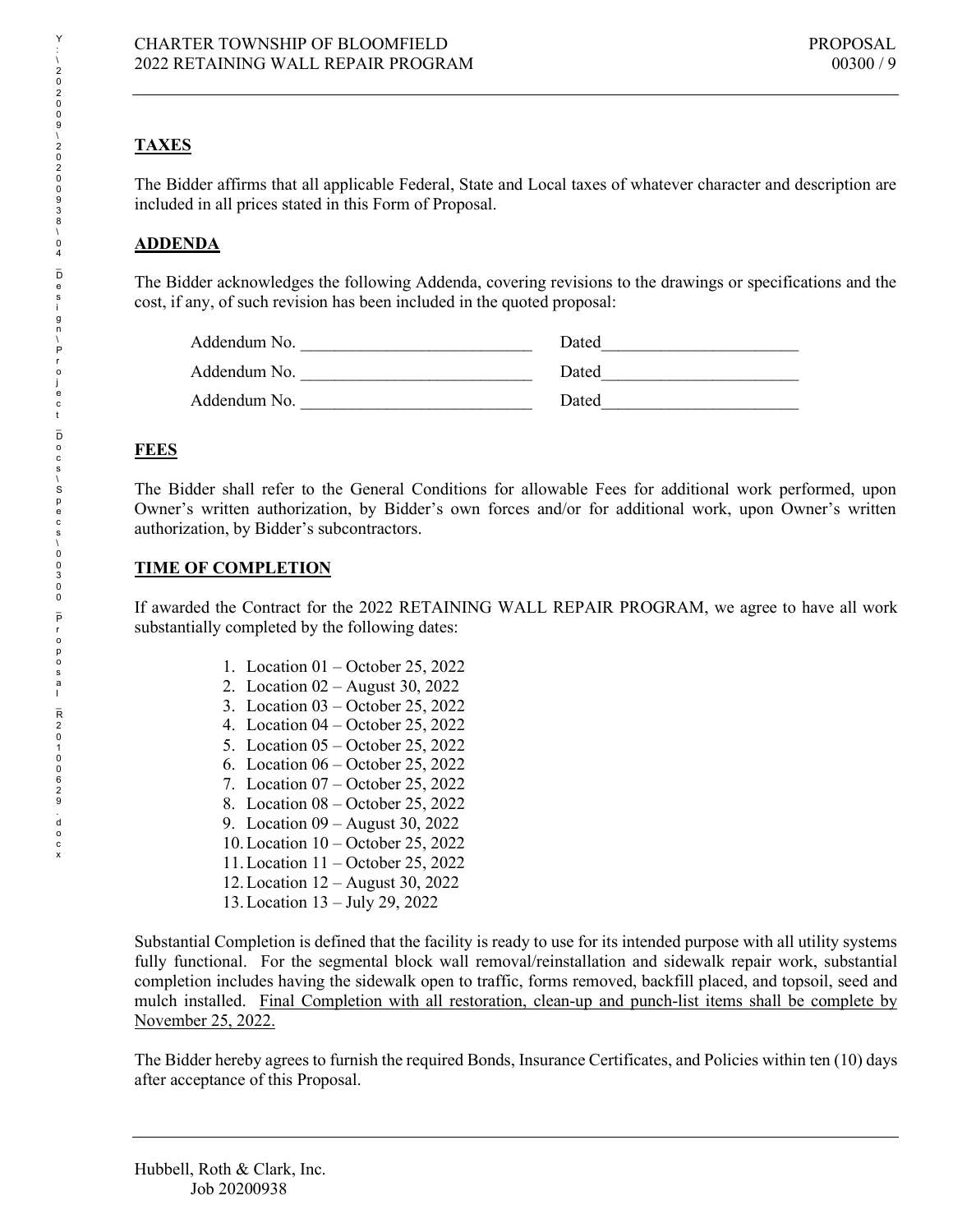# **TAXES**

The Bidder affirms that all applicable Federal, State and Local taxes of whatever character and description are included in all prices stated in this Form of Proposal.

# **ADDENDA**

The Bidder acknowledges the following Addenda, covering revisions to the drawings or specifications and the cost, if any, of such revision has been included in the quoted proposal:

| Addendum No. | Dated |
|--------------|-------|
| Addendum No. | Dated |
| Addendum No. | Dated |

# **FEES**

The Bidder shall refer to the General Conditions for allowable Fees for additional work performed, upon Owner's written authorization, by Bidder's own forces and/or for additional work, upon Owner's written authorization, by Bidder's subcontractors.

# **TIME OF COMPLETION**

If awarded the Contract for the 2022 RETAINING WALL REPAIR PROGRAM, we agree to have all work substantially completed by the following dates:

- 1. Location 01 October 25, 2022
- 2. Location 02 August 30, 2022
- 3. Location 03 October 25, 2022
- 4. Location 04 October 25, 2022
- 5. Location 05 October 25, 2022
- 6. Location 06 October 25, 2022
- 7. Location 07 October 25, 2022
- 8. Location 08 October 25, 2022
- 9. Location 09 August 30, 2022
- 10.Location 10 October 25, 2022
- 11.Location 11 October 25, 2022
- 12.Location 12 August 30, 2022
- 13.Location 13 July 29, 2022

Substantial Completion is defined that the facility is ready to use for its intended purpose with all utility systems fully functional. For the segmental block wall removal/reinstallation and sidewalk repair work, substantial completion includes having the sidewalk open to traffic, forms removed, backfill placed, and topsoil, seed and mulch installed. Final Completion with all restoration, clean-up and punch-list items shall be complete by November 25, 2022.

The Bidder hereby agrees to furnish the required Bonds, Insurance Certificates, and Policies within ten (10) days after acceptance of this Proposal.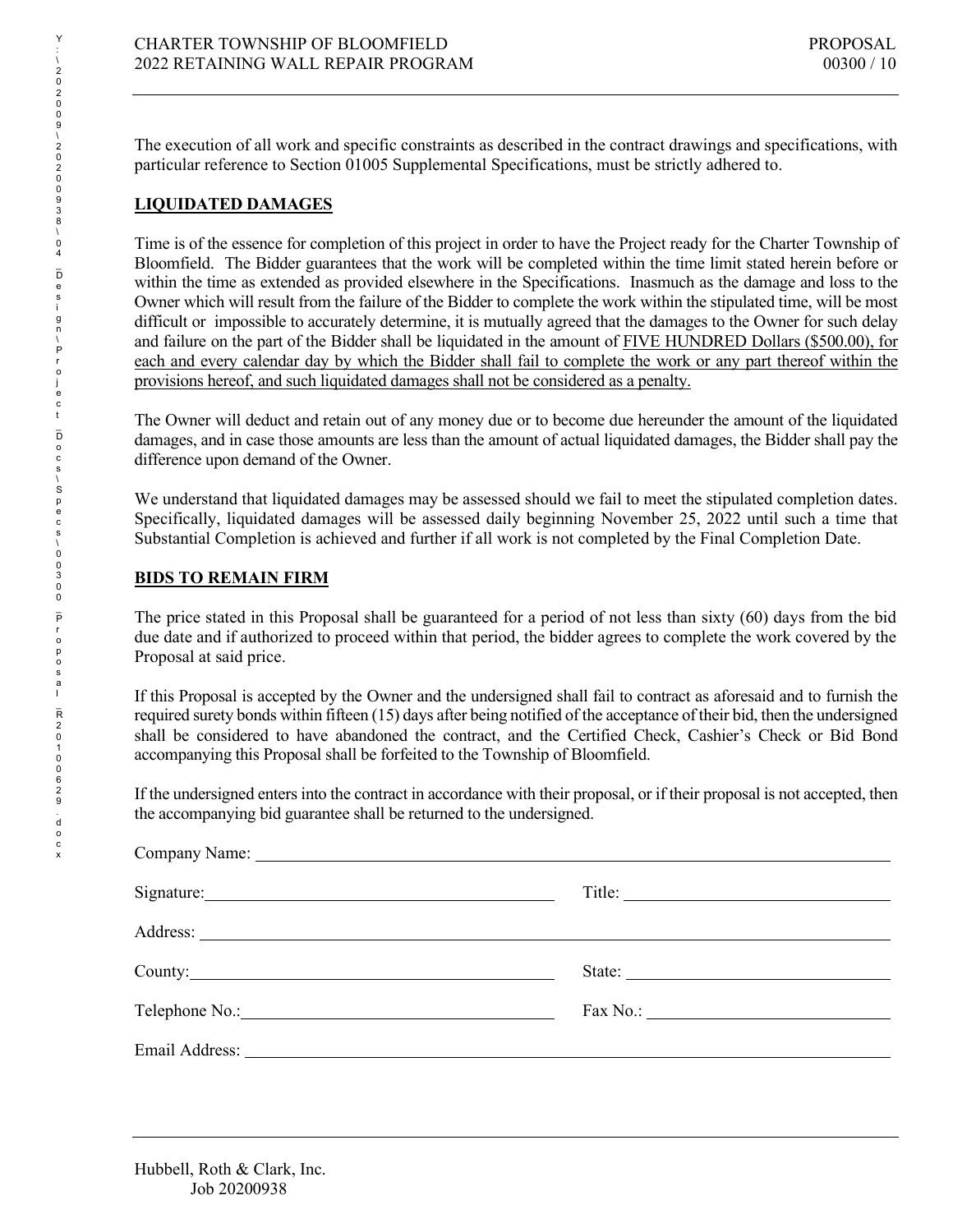The execution of all work and specific constraints as described in the contract drawings and specifications, with particular reference to Section 01005 Supplemental Specifications, must be strictly adhered to.

# **LIQUIDATED DAMAGES**

Time is of the essence for completion of this project in order to have the Project ready for the Charter Township of Bloomfield. The Bidder guarantees that the work will be completed within the time limit stated herein before or within the time as extended as provided elsewhere in the Specifications. Inasmuch as the damage and loss to the Owner which will result from the failure of the Bidder to complete the work within the stipulated time, will be most difficult or impossible to accurately determine, it is mutually agreed that the damages to the Owner for such delay and failure on the part of the Bidder shall be liquidated in the amount of FIVE HUNDRED Dollars (\$500.00), for each and every calendar day by which the Bidder shall fail to complete the work or any part thereof within the provisions hereof, and such liquidated damages shall not be considered as a penalty.

The Owner will deduct and retain out of any money due or to become due hereunder the amount of the liquidated damages, and in case those amounts are less than the amount of actual liquidated damages, the Bidder shall pay the difference upon demand of the Owner.

We understand that liquidated damages may be assessed should we fail to meet the stipulated completion dates. Specifically, liquidated damages will be assessed daily beginning November 25, 2022 until such a time that Substantial Completion is achieved and further if all work is not completed by the Final Completion Date.

# **BIDS TO REMAIN FIRM**

The price stated in this Proposal shall be guaranteed for a period of not less than sixty (60) days from the bid due date and if authorized to proceed within that period, the bidder agrees to complete the work covered by the Proposal at said price.

If this Proposal is accepted by the Owner and the undersigned shall fail to contract as aforesaid and to furnish the required surety bonds within fifteen (15) days after being notified of the acceptance of their bid, then the undersigned shall be considered to have abandoned the contract, and the Certified Check, Cashier's Check or Bid Bond accompanying this Proposal shall be forfeited to the Township of Bloomfield.

If the undersigned enters into the contract in accordance with their proposal, or if their proposal is not accepted, then the accompanying bid guarantee shall be returned to the undersigned.

| Signature: No. 1996 |        |
|---------------------|--------|
|                     |        |
|                     | State: |
|                     |        |
|                     |        |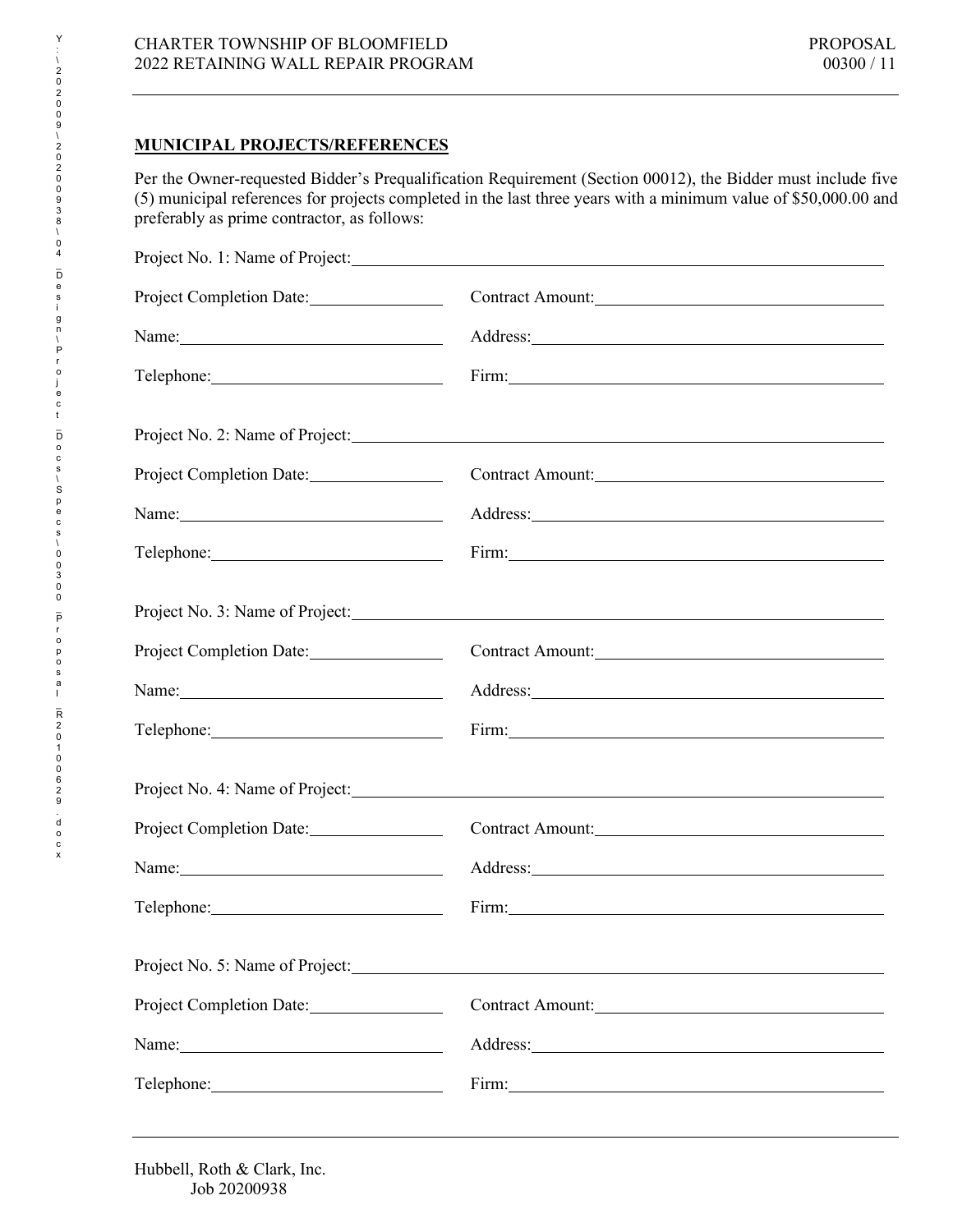# **MUNICIPAL PROJECTS/REFERENCES**

Per the Owner-requested Bidder's Prequalification Requirement (Section 00012), the Bidder must include five (5) municipal references for projects completed in the last three years with a minimum value of \$50,000.00 and preferably as prime contractor, as follows:

| Project No. 1: Name of Project: No. 1: Name of Project:                                                                                                                                                                        |                                                                                                                                                                                                                                |  |  |  |
|--------------------------------------------------------------------------------------------------------------------------------------------------------------------------------------------------------------------------------|--------------------------------------------------------------------------------------------------------------------------------------------------------------------------------------------------------------------------------|--|--|--|
| Project Completion Date:                                                                                                                                                                                                       | Contract Amount:                                                                                                                                                                                                               |  |  |  |
| Name: 2008. [2010] Name: 2008. [2010] 2010 2021 2022. [2010] 2012 2022. [2010] 2012 2022. [2010] 2012 2022. [20                                                                                                                |                                                                                                                                                                                                                                |  |  |  |
| Telephone: 2000 and 2000 and 2000 and 2000 and 2000 and 2000 and 2000 and 2000 and 2000 and 2000 and 2000 and 2000 and 2000 and 2000 and 2000 and 2000 and 2000 and 2000 and 2000 and 2000 and 2000 and 2000 and 2000 and 2000 | Firm: No. 1996. The Commission of the Commission of the Commission of the Commission of the Commission of the Commission of the Commission of the Commission of the Commission of the Commission of the Commission of the Comm |  |  |  |
|                                                                                                                                                                                                                                |                                                                                                                                                                                                                                |  |  |  |
| Project Completion Date:                                                                                                                                                                                                       | Contract Amount:                                                                                                                                                                                                               |  |  |  |
|                                                                                                                                                                                                                                | Address:                                                                                                                                                                                                                       |  |  |  |
|                                                                                                                                                                                                                                |                                                                                                                                                                                                                                |  |  |  |
|                                                                                                                                                                                                                                |                                                                                                                                                                                                                                |  |  |  |
| Project Completion Date:                                                                                                                                                                                                       | Contract Amount:                                                                                                                                                                                                               |  |  |  |
| Name:                                                                                                                                                                                                                          | Address: Note and the set of the set of the set of the set of the set of the set of the set of the set of the set of the set of the set of the set of the set of the set of the set of the set of the set of the set of the se |  |  |  |
|                                                                                                                                                                                                                                |                                                                                                                                                                                                                                |  |  |  |
|                                                                                                                                                                                                                                |                                                                                                                                                                                                                                |  |  |  |
| Project Completion Date:                                                                                                                                                                                                       | Contract Amount:                                                                                                                                                                                                               |  |  |  |
| Name:                                                                                                                                                                                                                          |                                                                                                                                                                                                                                |  |  |  |
|                                                                                                                                                                                                                                |                                                                                                                                                                                                                                |  |  |  |
|                                                                                                                                                                                                                                |                                                                                                                                                                                                                                |  |  |  |
| Project Completion Date:                                                                                                                                                                                                       | Contract Amount:                                                                                                                                                                                                               |  |  |  |
| Name:                                                                                                                                                                                                                          |                                                                                                                                                                                                                                |  |  |  |
|                                                                                                                                                                                                                                |                                                                                                                                                                                                                                |  |  |  |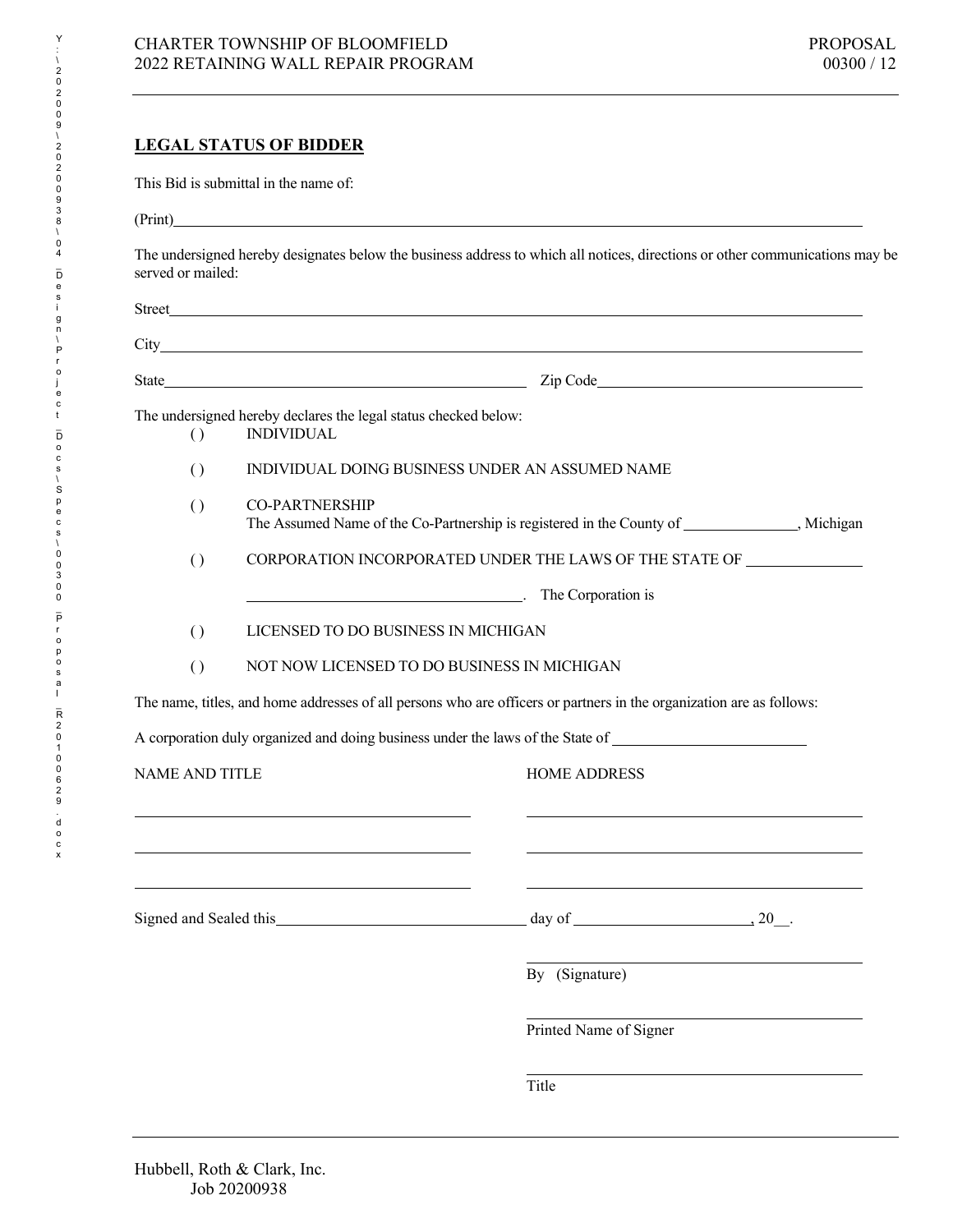## **LEGAL STATUS OF BIDDER**

This Bid is submittal in the name of:

| г | mı |
|---|----|
|   |    |

The undersigned hereby designates below the business address to which all notices, directions or other communications may be served or mailed:

|                       | State Zip Code <u>Zip Code</u> 2008 and 2009 and 2009 and 2009 and 2009 and 2009 and 2009 and 2009 and 2009 and 2009 and 2009 and 2009 and 2009 and 2009 and 2009 and 2009 and 2009 and 2009 and 2009 and 2009 and 2009 and 2009 an |
|-----------------------|-------------------------------------------------------------------------------------------------------------------------------------------------------------------------------------------------------------------------------------|
| $\left( \right)$      | The undersigned hereby declares the legal status checked below:<br><b>INDIVIDUAL</b>                                                                                                                                                |
| $\left( \right)$      | INDIVIDUAL DOING BUSINESS UNDER AN ASSUMED NAME                                                                                                                                                                                     |
| $\left( \right)$      | <b>CO-PARTNERSHIP</b><br>The Assumed Name of the Co-Partnership is registered in the County of ______________, Michigan                                                                                                             |
| $\left( \right)$      | CORPORATION INCORPORATED UNDER THE LAWS OF THE STATE OF _________________________                                                                                                                                                   |
|                       | The Corporation is                                                                                                                                                                                                                  |
| $\left( \right)$      | LICENSED TO DO BUSINESS IN MICHIGAN                                                                                                                                                                                                 |
| $\left( \right)$      | NOT NOW LICENSED TO DO BUSINESS IN MICHIGAN                                                                                                                                                                                         |
|                       | The name, titles, and home addresses of all persons who are officers or partners in the organization are as follows:                                                                                                                |
|                       | A corporation duly organized and doing business under the laws of the State of _______________________________                                                                                                                      |
| <b>NAME AND TITLE</b> | <b>HOME ADDRESS</b>                                                                                                                                                                                                                 |
|                       |                                                                                                                                                                                                                                     |
|                       | $day of$ $\qquad \qquad \ldots$ $20$ .<br>Signed and Sealed this Search Assembly and Sealed this                                                                                                                                    |
|                       | By (Signature)                                                                                                                                                                                                                      |
|                       | Printed Name of Signer                                                                                                                                                                                                              |
|                       | Title                                                                                                                                                                                                                               |

Y